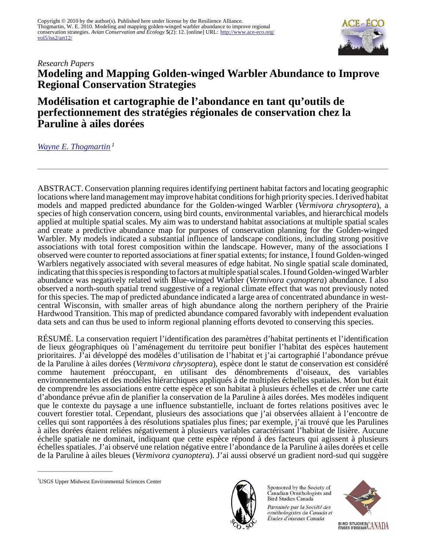

# *Research Papers* **Modeling and Mapping Golden-winged Warbler Abundance to Improve Regional Conservation Strategies**

**Modélisation et cartographie de l'abondance en tant qu'outils de perfectionnement des stratégies régionales de conservation chez la Paruline à ailes dorées**

*[Wayne E. Thogmartin](mailto:wthogmartin@usgs.gov)<sup>1</sup>*

ABSTRACT. Conservation planning requires identifying pertinent habitat factors and locating geographic locations where land management may improve habitat conditions for high priority species. I derived habitat models and mapped predicted abundance for the Golden-winged Warbler (*Vermivora chrysoptera*), a species of high conservation concern, using bird counts, environmental variables, and hierarchical models applied at multiple spatial scales. My aim was to understand habitat associations at multiple spatial scales and create a predictive abundance map for purposes of conservation planning for the Golden-winged Warbler. My models indicated a substantial influence of landscape conditions, including strong positive associations with total forest composition within the landscape. However, many of the associations I observed were counter to reported associations at finer spatial extents; for instance, I found Golden-winged Warblers negatively associated with several measures of edge habitat. No single spatial scale dominated, indicating that this species is responding to factors at multiple spatial scales. I found Golden-winged Warbler abundance was negatively related with Blue-winged Warbler (*Vermivora cyanoptera*) abundance. I also observed a north-south spatial trend suggestive of a regional climate effect that was not previously noted for this species. The map of predicted abundance indicated a large area of concentrated abundance in westcentral Wisconsin, with smaller areas of high abundance along the northern periphery of the Prairie Hardwood Transition. This map of predicted abundance compared favorably with independent evaluation data sets and can thus be used to inform regional planning efforts devoted to conserving this species.

RÉSUMÉ. La conservation requiert l'identification des paramètres d'habitat pertinents et l'identification de lieux géographiques où l'aménagement du territoire peut bonifier l'habitat des espèces hautement prioritaires. J'ai développé des modèles d'utilisation de l'habitat et j'ai cartographié l'abondance prévue de la Paruline à ailes dorées (*Vermivora chrysoptera*), espèce dont le statut de conservation est considéré comme hautement préoccupant, en utilisant des dénombrements d'oiseaux, des variables environnementales et des modèles hiérarchiques appliqués à de multiples échelles spatiales. Mon but était de comprendre les associations entre cette espèce et son habitat à plusieurs échelles et de créer une carte d'abondance prévue afin de planifier la conservation de la Paruline à ailes dorées. Mes modèles indiquent que le contexte du paysage a une influence substantielle, incluant de fortes relations positives avec le couvert forestier total. Cependant, plusieurs des associations que j'ai observées allaient à l'encontre de celles qui sont rapportées à des résolutions spatiales plus fines; par exemple, j'ai trouvé que les Parulines à ailes dorées étaient reliées négativement à plusieurs variables caractérisant l'habitat de lisière. Aucune échelle spatiale ne dominait, indiquant que cette espèce répond à des facteurs qui agissent à plusieurs échelles spatiales. J'ai observé une relation négative entre l'abondance de la Paruline à ailes dorées et celle de la Paruline à ailes bleues (*Vermivora cyanoptera*). J'ai aussi observé un gradient nord-sud qui suggère



Sponsored by the Society of Canadian Ornithologists and Bird Studies Canada

Parrainée par la Société des ornithologistes du Canada et Études d'oiseaux Canada



<sup>&</sup>lt;sup>1</sup>USGS Upper Midwest Environmental Sciences Center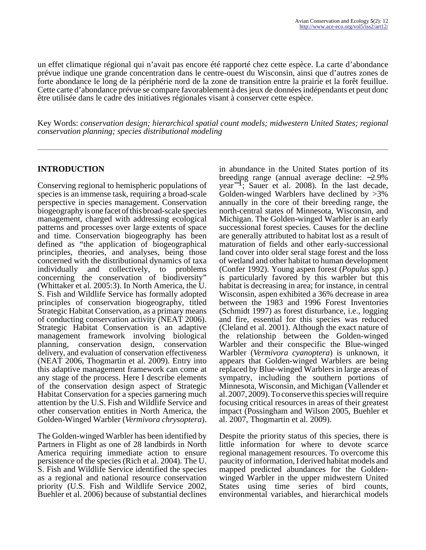un effet climatique régional qui n'avait pas encore été rapporté chez cette espèce. La carte d'abondance prévue indique une grande concentration dans le centre-ouest du Wisconsin, ainsi que d'autres zones de forte abondance le long de la périphérie nord de la zone de transition entre la prairie et la forêt feuillue. Cette carte d'abondance prévue se compare favorablement à des jeux de données indépendants et peut donc être utilisée dans le cadre des initiatives régionales visant à conserver cette espèce.

Key Words: *conservation design; hierarchical spatial count models; midwestern United States; regional conservation planning; species distributional modeling*

### **INTRODUCTION**

Conserving regional to hemispheric populations of species is an immense task, requiring a broad-scale perspective in species management. Conservation biogeography is one facet of this broad-scale species management, charged with addressing ecological patterns and processes over large extents of space and time. Conservation biogeography has been defined as "the application of biogeographical principles, theories, and analyses, being those concerned with the distributional dynamics of taxa individually and collectively, to problems concerning the conservation of biodiversity" (Whittaker et al. 2005:3). In North America, the U. S. Fish and Wildlife Service has formally adopted principles of conservation biogeography, titled Strategic Habitat Conservation, as a primary means of conducting conservation activity (NEAT 2006). Strategic Habitat Conservation is an adaptive management framework involving biological planning, conservation design, conservation delivery, and evaluation of conservation effectiveness (NEAT 2006, Thogmartin et al. 2009). Entry into this adaptive management framework can come at any stage of the process. Here I describe elements of the conservation design aspect of Strategic Habitat Conservation for a species garnering much attention by the U.S. Fish and Wildlife Service and other conservation entities in North America, the Golden-Winged Warbler (*Vermivora chrysoptera*).

The Golden-winged Warbler has been identified by Partners in Flight as one of 28 landbirds in North America requiring immediate action to ensure persistence of the species (Rich et al. 2004). The U. S. Fish and Wildlife Service identified the species as a regional and national resource conservation priority (U.S. Fish and Wildlife Service 2002, Buehler et al. 2006) because of substantial declines

in abundance in the United States portion of its breeding range (annual average decline: −2.9% year−1; Sauer et al. 2008). In the last decade, Golden-winged Warblers have declined by  $>3\%$ annually in the core of their breeding range, the north-central states of Minnesota, Wisconsin, and Michigan. The Golden-winged Warbler is an early successional forest species. Causes for the decline are generally attributed to habitat lost as a result of maturation of fields and other early-successional land cover into older seral stage forest and the loss of wetland and other habitat to human development (Confer 1992). Young aspen forest (*Populus* spp.) is particularly favored by this warbler but this habitat is decreasing in area; for instance, in central Wisconsin, aspen exhibited a 36% decrease in area between the 1983 and 1996 Forest Inventories (Schmidt 1997) as forest disturbance, i.e., logging and fire, essential for this species was reduced (Cleland et al. 2001). Although the exact nature of the relationship between the Golden-winged Warbler and their conspecific the Blue-winged Warbler (*Vermivora cyanoptera*) is unknown, it appears that Golden-winged Warblers are being replaced by Blue-winged Warblers in large areas of sympatry, including the southern portions of Minnesota, Wisconsin, and Michigan (Vallender et al. 2007, 2009). To conserve this species will require focusing critical resources in areas of their greatest impact (Possingham and Wilson 2005, Buehler et al. 2007, Thogmartin et al. 2009).

Despite the priority status of this species, there is little information for where to devote scarce regional management resources. To overcome this paucity of information, I derived habitat models and mapped predicted abundances for the Goldenwinged Warbler in the upper midwestern United States using time series of bird counts, environmental variables, and hierarchical models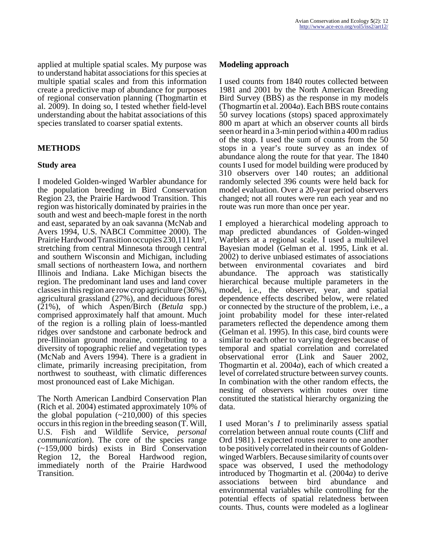applied at multiple spatial scales. My purpose was to understand habitat associations for this species at multiple spatial scales and from this information create a predictive map of abundance for purposes of regional conservation planning (Thogmartin et al. 2009). In doing so, I tested whether field-level understanding about the habitat associations of this species translated to coarser spatial extents.

## **METHODS**

### **Study area**

I modeled Golden-winged Warbler abundance for the population breeding in Bird Conservation Region 23, the Prairie Hardwood Transition. This region was historically dominated by prairies in the south and west and beech-maple forest in the north and east, separated by an oak savanna (McNab and Avers 1994, U.S. NABCI Committee 2000). The Prairie Hardwood Transition occupies 230,111 km², stretching from central Minnesota through central and southern Wisconsin and Michigan, including small sections of northeastern Iowa, and northern Illinois and Indiana. Lake Michigan bisects the region. The predominant land uses and land cover classes in this region are row crop agriculture (36%), agricultural grassland (27%), and deciduous forest (21%), of which Aspen/Birch (*Betula* spp.) comprised approximately half that amount. Much of the region is a rolling plain of loess-mantled ridges over sandstone and carbonate bedrock and pre-Illinoian ground moraine, contributing to a diversity of topographic relief and vegetation types (McNab and Avers 1994). There is a gradient in climate, primarily increasing precipitation, from northwest to southeast, with climatic differences most pronounced east of Lake Michigan.

The North American Landbird Conservation Plan (Rich et al. 2004) estimated approximately 10% of the global population  $(\sim 210,000)$  of this species occurs in this region in the breeding season (T. Will, U.S. Fish and Wildlife Service, *personal communication*). The core of the species range (~159,000 birds) exists in Bird Conservation Region 12, the Boreal Hardwood region, immediately north of the Prairie Hardwood Transition.

#### **Modeling approach**

I used counts from 1840 routes collected between 1981 and 2001 by the North American Breeding Bird Survey (BBS) as the response in my models (Thogmartin et al. 2004*a*). Each BBS route contains 50 survey locations (stops) spaced approximately 800 m apart at which an observer counts all birds seen or heard in a 3-min period within a 400 m radius of the stop. I used the sum of counts from the 50 stops in a year's route survey as an index of abundance along the route for that year. The 1840 counts I used for model building were produced by 310 observers over 140 routes; an additional randomly selected 396 counts were held back for model evaluation. Over a 20-year period observers changed; not all routes were run each year and no route was run more than once per year.

I employed a hierarchical modeling approach to map predicted abundances of Golden-winged Warblers at a regional scale. I used a multilevel Bayesian model (Gelman et al. 1995, Link et al. 2002) to derive unbiased estimates of associations between environmental covariates and bird abundance. The approach was statistically hierarchical because multiple parameters in the model, i.e., the observer, year, and spatial dependence effects described below, were related or connected by the structure of the problem, i.e., a joint probability model for these inter-related parameters reflected the dependence among them (Gelman et al. 1995). In this case, bird counts were similar to each other to varying degrees because of temporal and spatial correlation and correlated observational error (Link and Sauer 2002, Thogmartin et al. 2004*a*), each of which created a level of correlated structure between survey counts. In combination with the other random effects, the nesting of observers within routes over time constituted the statistical hierarchy organizing the data.

I used Moran's *I* to preliminarily assess spatial correlation between annual route counts (Cliff and Ord 1981). I expected routes nearer to one another to be positively correlated in their counts of Goldenwinged Warblers. Because similarity of counts over space was observed, I used the methodology introduced by Thogmartin et al. (2004*a*) to derive associations between bird abundance and environmental variables while controlling for the potential effects of spatial relatedness between counts. Thus, counts were modeled as a loglinear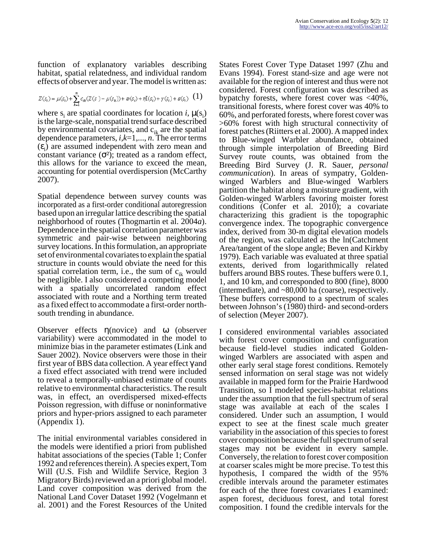function of explanatory variables describing habitat, spatial relatedness, and individual random effects of observer and year. The model is written as:

$$
Z(s_i) = \mu(s_i) + \sum_{k=1}^n c_{ik}(Z(s_i) - \mu(s_k)) + \varpi(s_i) + \eta I(s_i) + \gamma(s_i) + \varepsilon(s_i) \quad \textbf{(1)}
$$

where  $s_i$  are spatial coordinates for location *i*,  $\mu(s_i)$ is the large-scale, nonspatial trend surface described by environmental covariates, and  $c_{ik}$  are the spatial dependence parameters, *i,k*=1,..., *n*. The error terms  $(\varepsilon_i)$  are assumed independent with zero mean and constant variance  $(\sigma^2)$ ; treated as a random effect, this allows for the variance to exceed the mean, accounting for potential overdispersion (McCarthy 2007).

Spatial dependence between survey counts was incorporated as a first-order conditional autoregression based upon an irregular lattice describing the spatial neighborhood of routes (Thogmartin et al. 2004*a*). Dependence in the spatial correlation parameter was symmetric and pair-wise between neighboring survey locations. In this formulation, an appropriate set of environmental covariates to explain the spatial structure in counts would obviate the need for this spatial correlation term, i.e., the sum of  $c_{ik}$  would be negligible. I also considered a competing model with a spatially uncorrelated random effect associated with route and a Northing term treated as a fixed effect to accommodate a first-order northsouth trending in abundance.

Observer effects η(novice) and ω (observer variability) were accommodated in the model to minimize bias in the parameter estimates (Link and Sauer 2002). Novice observers were those in their first year of BBS data collection. A year effect γ and a fixed effect associated with trend were included to reveal a temporally-unbiased estimate of counts relative to environmental characteristics. The result was, in effect, an overdispersed mixed-effects Poisson regression, with diffuse or noninformative priors and hyper-priors assigned to each parameter (Appendix 1).

The initial environmental variables considered in the models were identified a priori from published habitat associations of the species (Table 1; Confer 1992 and references therein). A species expert, Tom Will (U.S. Fish and Wildlife Service, Region 3 Migratory Birds) reviewed an a priori global model. Land cover composition was derived from the National Land Cover Dataset 1992 (Vogelmann et al. 2001) and the Forest Resources of the United

States Forest Cover Type Dataset 1997 (Zhu and Evans 1994). Forest stand-size and age were not available for the region of interest and thus were not considered. Forest configuration was described as bypatchy forests, where forest cover was <40%, transitional forests, where forest cover was 40% to 60%, and perforated forests, where forest cover was >60% forest with high structural connectivity of forest patches (Riitters et al. 2000). A mapped index to Blue-winged Warbler abundance, obtained through simple interpolation of Breeding Bird Survey route counts, was obtained from the Breeding Bird Survey (J. R. Sauer, *personal communication*). In areas of sympatry, Goldenwinged Warblers and Blue-winged Warblers partition the habitat along a moisture gradient, with Golden-winged Warblers favoring moister forest conditions (Confer et al. 2010); a covariate characterizing this gradient is the topographic convergence index. The topographic convergence index, derived from 30-m digital elevation models of the region, was calculated as the ln(Catchment Area/tangent of the slope angle; Beven and Kirkby 1979). Each variable was evaluated at three spatial extents, derived from logarithmically related buffers around BBS routes. These buffers were 0.1, 1, and 10 km, and corresponded to 800 (fine), 8000 (intermediate), and ~80,000 ha (coarse), respectively. These buffers correspond to a spectrum of scales between Johnson's (1980) third- and second-orders of selection (Meyer 2007).

I considered environmental variables associated with forest cover composition and configuration because field-level studies indicated Goldenwinged Warblers are associated with aspen and other early seral stage forest conditions. Remotely sensed information on seral stage was not widely available in mapped form for the Prairie Hardwood Transition, so I modeled species-habitat relations under the assumption that the full spectrum of seral stage was available at each of the scales I considered. Under such an assumption, I would expect to see at the finest scale much greater variability in the association of this species to forest cover composition because the full spectrum of seral stages may not be evident in every sample. Conversely, the relation to forest cover composition at coarser scales might be more precise. To test this hypothesis, I compared the width of the 95% credible intervals around the parameter estimates for each of the three forest covariates I examined: aspen forest, deciduous forest, and total forest composition. I found the credible intervals for the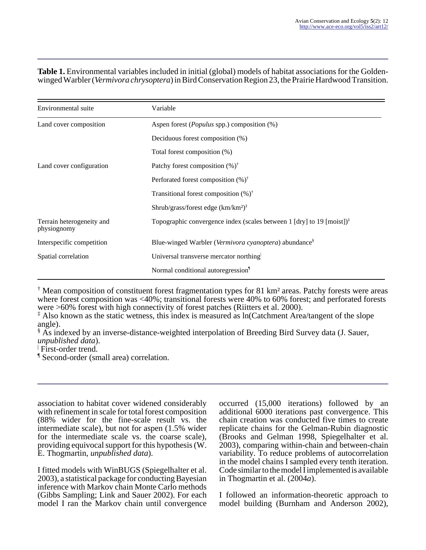#### **Table 1.** Environmental variables included in initial (global) models of habitat associations for the Goldenwinged Warbler (*Vermivora chrysoptera*) in Bird Conservation Region 23, the Prairie Hardwood Transition.

| Environmental suite                      | Variable                                                                                              |  |  |
|------------------------------------------|-------------------------------------------------------------------------------------------------------|--|--|
| Land cover composition                   | Aspen forest ( <i>Populus</i> spp.) composition (%)                                                   |  |  |
|                                          | Deciduous forest composition (%)                                                                      |  |  |
|                                          | Total forest composition (%)                                                                          |  |  |
| Land cover configuration                 | Patchy forest composition $(\%)^{\dagger}$                                                            |  |  |
|                                          | Perforated forest composition $(\%)^{\dagger}$                                                        |  |  |
|                                          | Transitional forest composition $(\%)^{\dagger}$                                                      |  |  |
|                                          | Shrub/grass/forest edge $(km/km^2)^{\ddagger}$                                                        |  |  |
| Terrain heterogeneity and<br>physiognomy | Topographic convergence index (scales between 1 [dry] to 19 [moist]) <sup><math>\ddagger</math></sup> |  |  |
| Interspecific competition                | Blue-winged Warbler (Vermivora cyanoptera) abundance <sup>§</sup>                                     |  |  |
| Spatial correlation                      | Universal transverse mercator northing                                                                |  |  |
|                                          | Normal conditional autoregression                                                                     |  |  |

† Mean composition of constituent forest fragmentation types for 81 km² areas. Patchy forests were areas where forest composition was <40%; transitional forests were 40% to 60% forest; and perforated forests were >60% forest with high connectivity of forest patches (Riitters et al. 2000).

‡ Also known as the static wetness, this index is measured as ln(Catchment Area/tangent of the slope angle).

§ As indexed by an inverse-distance-weighted interpolation of Breeding Bird Survey data (J. Sauer, *unpublished data*).

| First-order trend.

¶ Second-order (small area) correlation.

association to habitat cover widened considerably with refinement in scale for total forest composition (88% wider for the fine-scale result vs. the intermediate scale), but not for aspen (1.5% wider for the intermediate scale vs. the coarse scale), providing equivocal support for this hypothesis (W. E. Thogmartin, *unpublished data*).

I fitted models with WinBUGS (Spiegelhalter et al. 2003), a statistical package for conducting Bayesian inference with Markov chain Monte Carlo methods (Gibbs Sampling; Link and Sauer 2002). For each model I ran the Markov chain until convergence

occurred (15,000 iterations) followed by an additional 6000 iterations past convergence. This chain creation was conducted five times to create replicate chains for the Gelman-Rubin diagnostic (Brooks and Gelman 1998, Spiegelhalter et al. 2003), comparing within-chain and between-chain variability. To reduce problems of autocorrelation in the model chains I sampled every tenth iteration. Code similar to the model  $\overline{I}$  implemented is available in Thogmartin et al. (2004*a*).

I followed an information-theoretic approach to model building (Burnham and Anderson 2002),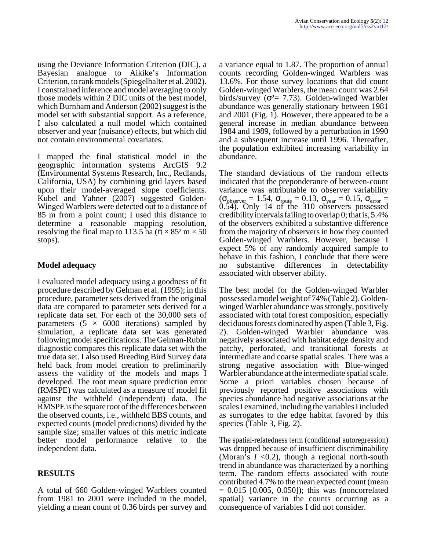using the Deviance Information Criterion (DIC), a Bayesian analogue to Aikike's Information Criterion, to rank models (Spiegelhalter et al. 2002). I constrained inference and model averaging to only those models within 2 DIC units of the best model, which Burnham and Anderson (2002) suggest is the model set with substantial support. As a reference, I also calculated a null model which contained observer and year (nuisance) effects, but which did not contain environmental covariates.

I mapped the final statistical model in the geographic information systems ArcGIS 9.2 (Environmental Systems Research, Inc., Redlands, California, USA) by combining grid layers based upon their model-averaged slope coefficients. Kubel and Yahner (2007) suggested Golden-Winged Warblers were detected out to a distance of 85 m from a point count; I used this distance to determine a reasonable mapping resolution, resolving the final map to 113.5 ha ( $\pi \times 85^2$  m  $\times 50$ ) stops).

# **Model adequacy**

I evaluated model adequacy using a goodness of fit procedure described by Gelman et al. (1995); in this procedure, parameter sets derived from the original data are compared to parameter sets derived for a replicate data set. For each of the 30,000 sets of parameters  $(5 \times 6000$  iterations) sampled by simulation, a replicate data set was generated following model specifications. The Gelman-Rubin diagnostic compares this replicate data set with the true data set. I also used Breeding Bird Survey data held back from model creation to preliminarily assess the validity of the models and maps I developed. The root mean square prediction error (RMSPE) was calculated as a measure of model fit against the withheld (independent) data. The RMSPE is the square root of the differences between the observed counts, i.e., withheld BBS counts, and expected counts (model predictions) divided by the sample size; smaller values of this metric indicate better model performance relative to the independent data.

# **RESULTS**

A total of 660 Golden-winged Warblers counted from 1981 to 2001 were included in the model, yielding a mean count of 0.36 birds per survey and

a variance equal to 1.87. The proportion of annual counts recording Golden-winged Warblers was 13.6%. For those survey locations that did count Golden-winged Warblers, the mean count was 2.64 birds/survey ( $\sigma^2$  = 7.73). Golden-winged Warbler abundance was generally stationary between 1981 and 2001 (Fig. 1). However, there appeared to be a general increase in median abundance between 1984 and 1989, followed by a perturbation in 1990 and a subsequent increase until 1996. Thereafter, the population exhibited increasing variability in abundance.

The standard deviations of the random effects indicated that the preponderance of between-count variance was attributable to observer variability  $(\sigma_{\text{observer}} = 1.54, \sigma_{\text{route}} = 0.13, \sigma_{\text{year}} = 0.15, \sigma_{\text{error}} =$ 0.54). Only 14 of the 310 observers possessed credibility intervals failing to overlap 0; that is, 5.4% of the observers exhibited a substantive difference from the majority of observers in how they counted Golden-winged Warblers. However, because I expect 5% of any randomly acquired sample to behave in this fashion, I conclude that there were no substantive differences in detectability associated with observer ability.

The best model for the Golden-winged Warbler possessed a model weight of 74% (Table 2). Goldenwinged Warbler abundance was strongly, positively associated with total forest composition, especially deciduous forests dominated by aspen (Table 3, Fig. 2). Golden-winged Warbler abundance was negatively associated with habitat edge density and patchy, perforated, and transitional forests at intermediate and coarse spatial scales. There was a strong negative association with Blue-winged Warbler abundance at the intermediate spatial scale. Some a priori variables chosen because of previously reported positive associations with species abundance had negative associations at the scales I examined, including the variables I included as surrogates to the edge habitat favored by this species (Table 3, Fig. 2).

The spatial-relatedness term (conditional autoregression) was dropped because of insufficient discriminability (Moran's  $I \leq 0.2$ ), though a regional north-south trend in abundance was characterized by a northing term. The random effects associated with route contributed 4.7% to the mean expected count (mean  $= 0.015$  [0.005, 0.050]); this was (noncorrelated spatial) variance in the counts occurring as a consequence of variables I did not consider.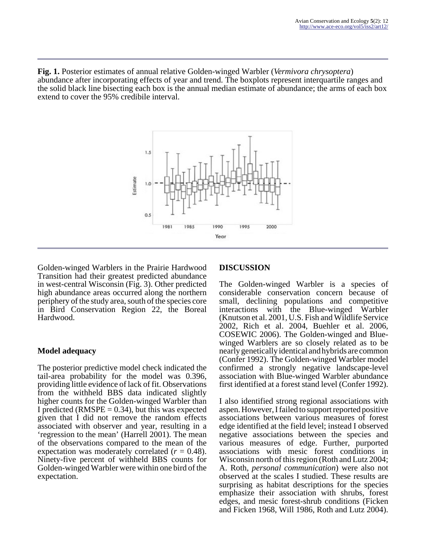**Fig. 1.** Posterior estimates of annual relative Golden-winged Warbler (*Vermivora chrysoptera*) abundance after incorporating effects of year and trend. The boxplots represent interquartile ranges and the solid black line bisecting each box is the annual median estimate of abundance; the arms of each box extend to cover the 95% credibile interval.



Golden-winged Warblers in the Prairie Hardwood Transition had their greatest predicted abundance in west-central Wisconsin (Fig. 3). Other predicted high abundance areas occurred along the northern periphery of the study area, south of the species core in Bird Conservation Region 22, the Boreal Hardwood.

### **Model adequacy**

The posterior predictive model check indicated the tail-area probability for the model was 0.396, providing little evidence of lack of fit. Observations from the withheld BBS data indicated slightly higher counts for the Golden-winged Warbler than I predicted (RMSPE  $= 0.34$ ), but this was expected given that I did not remove the random effects associated with observer and year, resulting in a 'regression to the mean' (Harrell 2001). The mean of the observations compared to the mean of the expectation was moderately correlated  $(r = 0.48)$ . Ninety-five percent of withheld BBS counts for Golden-winged Warbler were within one bird of the expectation.

### **DISCUSSION**

The Golden-winged Warbler is a species of considerable conservation concern because of small, declining populations and competitive interactions with the Blue-winged Warbler (Knutson et al. 2001, U.S. Fish and Wildlife Service 2002, Rich et al. 2004, Buehler et al. 2006, COSEWIC 2006). The Golden-winged and Bluewinged Warblers are so closely related as to be nearly genetically identical and hybrids are common (Confer 1992). The Golden-winged Warbler model confirmed a strongly negative landscape-level association with Blue-winged Warbler abundance first identified at a forest stand level (Confer 1992).

I also identified strong regional associations with aspen. However, I failed to support reported positive associations between various measures of forest edge identified at the field level; instead I observed negative associations between the species and various measures of edge. Further, purported associations with mesic forest conditions in Wisconsin north of this region (Roth and Lutz 2004; A. Roth, *personal communication*) were also not observed at the scales I studied. These results are surprising as habitat descriptions for the species emphasize their association with shrubs, forest edges, and mesic forest-shrub conditions (Ficken and Ficken 1968, Will 1986, Roth and Lutz 2004).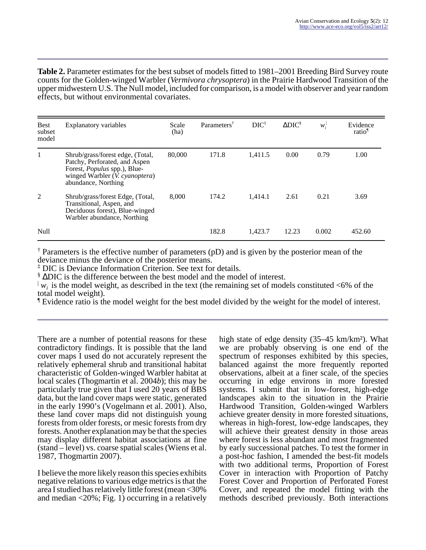**Table 2.** Parameter estimates for the best subset of models fitted to 1981–2001 Breeding Bird Survey route counts for the Golden-winged Warbler (*Vermivora chrysoptera*) in the Prairie Hardwood Transition of the upper midwestern U.S. The Null model, included for comparison, is a model with observer and year random effects, but without environmental covariates.

| <b>Best</b><br>subset<br>model | Explanatory variables                                                                                                                                        | Scale<br>(ha) | Parameters <sup>†</sup> | $DIC^{\ddagger}$ | $\Delta \text{DIC}$ <sup>§</sup> | $W^{\perp}$ | Evidence<br>ratio <sup>1</sup> |
|--------------------------------|--------------------------------------------------------------------------------------------------------------------------------------------------------------|---------------|-------------------------|------------------|----------------------------------|-------------|--------------------------------|
|                                | Shrub/grass/forest edge, (Total,<br>Patchy, Perforated, and Aspen<br>Forest, Populus spp.), Blue-<br>winged Warbler $(V.$ cyanoptera)<br>abundance, Northing | 80,000        | 171.8                   | 1,411.5          | 0.00                             | 0.79        | 1.00                           |
| 2                              | Shrub/grass/forest Edge, (Total,<br>Transitional, Aspen, and<br>Deciduous forest), Blue-winged<br>Warbler abundance, Northing                                | 8,000         | 174.2                   | 1.414.1          | 2.61                             | 0.21        | 3.69                           |
| Null                           |                                                                                                                                                              |               | 182.8                   | 1.423.7          | 12.23                            | 0.002       | 452.60                         |

† Parameters is the effective number of parameters (pD) and is given by the posterior mean of the deviance minus the deviance of the posterior means.

‡ DIC is Deviance Information Criterion. See text for details.

§ ∆DIC is the difference between the best model and the model of interest.

 $\downarrow$  *w<sub>i</sub>* is the model weight, as described in the text (the remaining set of models constituted <6% of the total model weight).

¶ Evidence ratio is the model weight for the best model divided by the weight for the model of interest.

There are a number of potential reasons for these contradictory findings. It is possible that the land cover maps I used do not accurately represent the relatively ephemeral shrub and transitional habitat characteristic of Golden-winged Warbler habitat at local scales (Thogmartin et al. 2004*b*); this may be particularly true given that I used 20 years of BBS data, but the land cover maps were static, generated in the early 1990's (Vogelmann et al. 2001). Also, these land cover maps did not distinguish young forests from older forests, or mesic forests from dry forests. Another explanation may be that the species may display different habitat associations at fine (stand – level) vs. coarse spatial scales (Wiens et al. 1987, Thogmartin 2007).

I believe the more likely reason this species exhibits negative relations to various edge metrics is that the area I studied has relatively little forest (mean <30% and median  $\langle 20\% : \text{Fig. 1} \rangle$  occurring in a relatively high state of edge density (35–45 km/km²). What we are probably observing is one end of the spectrum of responses exhibited by this species, balanced against the more frequently reported observations, albeit at a finer scale, of the species occurring in edge environs in more forested systems. I submit that in low-forest, high-edge landscapes akin to the situation in the Prairie Hardwood Transition, Golden-winged Warblers achieve greater density in more forested situations, whereas in high-forest, low-edge landscapes, they will achieve their greatest density in those areas where forest is less abundant and most fragmented by early successional patches. To test the former in a post-hoc fashion, I amended the best-fit models with two additional terms, Proportion of Forest Cover in interaction with Proportion of Patchy Forest Cover and Proportion of Perforated Forest Cover, and repeated the model fitting with the methods described previously. Both interactions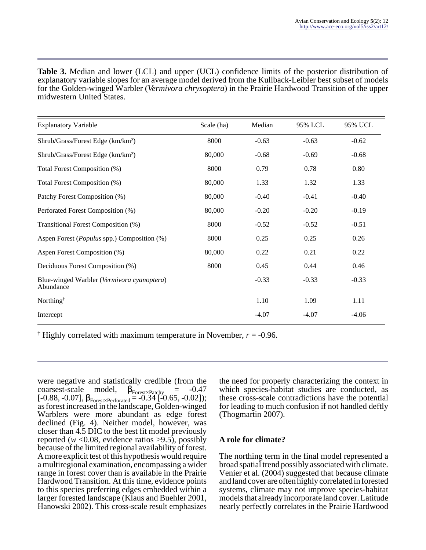**Table 3.** Median and lower (LCL) and upper (UCL) confidence limits of the posterior distribution of explanatory variable slopes for an average model derived from the Kullback-Leibler best subset of models for the Golden-winged Warbler (*Vermivora chrysoptera*) in the Prairie Hardwood Transition of the upper midwestern United States.

| <b>Explanatory Variable</b>                                      | Scale (ha) | Median  | 95% LCL | 95% UCL |
|------------------------------------------------------------------|------------|---------|---------|---------|
| Shrub/Grass/Forest Edge (km/km <sup>2</sup> )                    | 8000       | $-0.63$ | $-0.63$ | $-0.62$ |
| Shrub/Grass/Forest Edge (km/km <sup>2</sup> )                    | 80,000     | $-0.68$ | $-0.69$ | $-0.68$ |
| Total Forest Composition (%)                                     | 8000       | 0.79    | 0.78    | 0.80    |
| Total Forest Composition (%)                                     | 80,000     | 1.33    | 1.32    | 1.33    |
| Patchy Forest Composition (%)                                    | 80,000     | $-0.40$ | $-0.41$ | $-0.40$ |
| Perforated Forest Composition (%)                                | 80,000     | $-0.20$ | $-0.20$ | $-0.19$ |
| Transitional Forest Composition (%)                              | 8000       | $-0.52$ | $-0.52$ | $-0.51$ |
| Aspen Forest ( <i>Populus</i> spp.) Composition (%)              | 8000       | 0.25    | 0.25    | 0.26    |
| Aspen Forest Composition (%)                                     | 80,000     | 0.22    | 0.21    | 0.22    |
| Deciduous Forest Composition (%)                                 | 8000       | 0.45    | 0.44    | 0.46    |
| Blue-winged Warbler ( <i>Vermivora cyanoptera</i> )<br>Abundance |            | $-0.33$ | $-0.33$ | $-0.33$ |
| Northing <sup>†</sup>                                            |            | 1.10    | 1.09    | 1.11    |
| Intercept                                                        |            | $-4.07$ | $-4.07$ | $-4.06$ |

<sup> $\dagger$ </sup> Highly correlated with maximum temperature in November,  $r = -0.96$ .

were negative and statistically credible (from the coarsest-scale model,  $\beta_{\text{Foreg} \times \text{Patehy}} = -0.47$  $[-0.88, -0.07], \beta_{\text{Fogest} \times \text{Perforated}} = -0.34[-0.65, -0.02]);$ as forest increased in the landscape, Golden-winged Warblers were more abundant as edge forest declined (Fig. 4). Neither model, however, was closer than 4.5 DIC to the best fit model previously reported ( $w$  <0.08, evidence ratios >9.5), possibly because of the limited regional availability of forest. A more explicit test of this hypothesis would require a multiregional examination, encompassing a wider range in forest cover than is available in the Prairie Hardwood Transition. At this time, evidence points to this species preferring edges embedded within a larger forested landscape (Klaus and Buehler 2001, Hanowski 2002). This cross-scale result emphasizes

the need for properly characterizing the context in which species-habitat studies are conducted, as these cross-scale contradictions have the potential for leading to much confusion if not handled deftly (Thogmartin 2007).

### **A role for climate?**

The northing term in the final model represented a broad spatial trend possibly associated with climate. Venier et al. (2004) suggested that because climate and land cover are often highly correlated in forested systems, climate may not improve species-habitat models that already incorporate land cover. Latitude nearly perfectly correlates in the Prairie Hardwood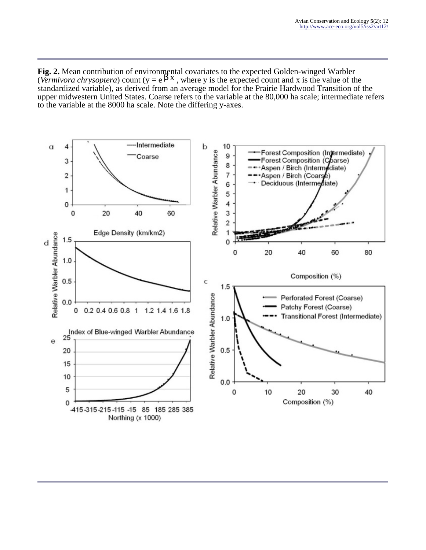**Fig. 2.** Mean contribution of environmental covariates to the expected Golden-winged Warbler (*Vermivora chrysoptera*) count (y = e<sup>β x</sup>, where y is the expected count and x is the value of the standardized variable), as derived from an average model for the Prairie Hardwood Transition of the upper midwestern United States. Coarse refers to the variable at the 80,000 ha scale; intermediate refers to the variable at the 8000 ha scale. Note the differing y-axes.

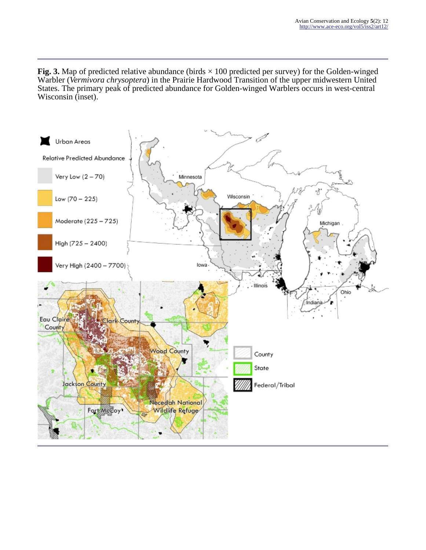**Fig. 3.** Map of predicted relative abundance (birds  $\times$  100 predicted per survey) for the Golden-winged Warbler (*Vermivora chrysoptera*) in the Prairie Hardwood Transition of the upper midwestern United States. The primary peak of predicted abundance for Golden-winged Warblers occurs in west-central Wisconsin (inset).

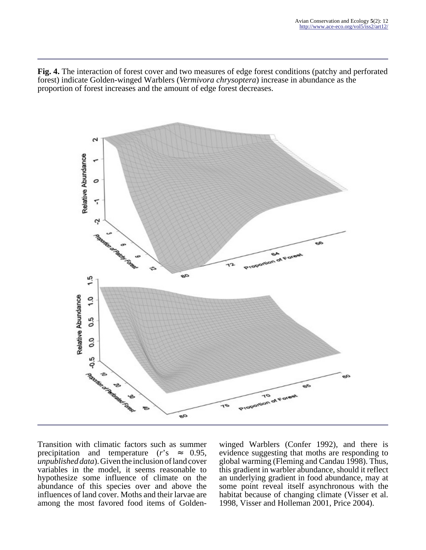**Fig. 4.** The interaction of forest cover and two measures of edge forest conditions (patchy and perforated forest) indicate Golden-winged Warblers (*Vermivora chrysoptera*) increase in abundance as the proportion of forest increases and the amount of edge forest decreases.



Transition with climatic factors such as summer precipitation and temperature  $(r)$ 's  $\approx$  0.95, *unpublished data*). Given the inclusion of land cover variables in the model, it seems reasonable to hypothesize some influence of climate on the abundance of this species over and above the influences of land cover. Moths and their larvae are among the most favored food items of Goldenwinged Warblers (Confer 1992), and there is evidence suggesting that moths are responding to global warming (Fleming and Candau 1998). Thus, this gradient in warbler abundance, should it reflect an underlying gradient in food abundance, may at some point reveal itself asynchronous with the habitat because of changing climate (Visser et al. 1998, Visser and Holleman 2001, Price 2004).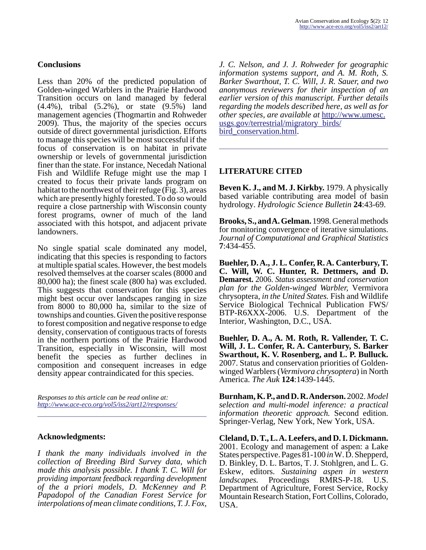### **Conclusions**

Less than 20% of the predicted population of Golden-winged Warblers in the Prairie Hardwood Transition occurs on land managed by federal (4.4%), tribal (5.2%), or state (9.5%) land management agencies (Thogmartin and Rohweder 2009). Thus, the majority of the species occurs outside of direct governmental jurisdiction. Efforts to manage this species will be most successful if the focus of conservation is on habitat in private ownership or levels of governmental jurisdiction finer than the state. For instance, Necedah National Fish and Wildlife Refuge might use the map I created to focus their private lands program on habitat to the northwest of their refuge  $(Fig. 3)$ , areas which are presently highly forested. To do so would require a close partnership with Wisconsin county forest programs, owner of much of the land associated with this hotspot, and adjacent private landowners.

No single spatial scale dominated any model, indicating that this species is responding to factors at multiple spatial scales. However, the best models resolved themselves at the coarser scales (8000 and 80,000 ha); the finest scale (800 ha) was excluded. This suggests that conservation for this species might best occur over landscapes ranging in size from 8000 to 80,000 ha, similar to the size of townships and counties. Given the positive response to forest composition and negative response to edge density, conservation of contiguous tracts of forests in the northern portions of the Prairie Hardwood Transition, especially in Wisconsin, will most benefit the species as further declines in composition and consequent increases in edge density appear contraindicated for this species.

*Responses to this article can be read online at: <http://www.ace-eco.org/vol5/iss2/art12/responses/>*

### **Acknowledgments:**

*I thank the many individuals involved in the collection of Breeding Bird Survey data, which made this analysis possible. I thank T. C. Will for providing important feedback regarding development of the a priori models, D. McKenney and P. Papadopol of the Canadian Forest Service for interpolations of mean climate conditions, T. J. Fox,*

*J. C. Nelson, and J. J. Rohweder for geographic information systems support, and A. M. Roth, S. Barker Swarthout, T. C. Will, J. R. Sauer, and two anonymous reviewers for their inspection of an earlier version of this manuscript. Further details regarding the models described here, as well as for other species, are available at* [http://www.umesc.](http://www.umesc.usgs.gov/terrestrial/migratory_birds/bird_conservation.html) usgs.gov/terrestrial/migratory\_birds/ [bird\\_conservation.html.](http://www.umesc.usgs.gov/terrestrial/migratory_birds/bird_conservation.html)

## **LITERATURE CITED**

**Beven K. J., and M. J. Kirkby.** 1979. A physically based variable contributing area model of basin hydrology. *Hydrologic Science Bulletin* **24**:43-69.

**Brooks, S., and A. Gelman.** 1998. General methods for monitoring convergence of iterative simulations. *Journal of Computational and Graphical Statistics* **7**:434-455.

**Buehler, D. A., J. L. Confer, R. A. Canterbury, T. C. Will, W. C. Hunter, R. Dettmers, and D. Demarest.** 2006. *Status assessment and conservation plan for the Golden-winged Warbler,* Vermivora chrysoptera, *in the United States.* Fish and Wildlife Service Biological Technical Publication FWS/ BTP-R6XXX-2006. U.S. Department of the Interior, Washington, D.C., USA.

**Buehler, D. A., A. M. Roth, R. Vallender, T. C. Will, J. L. Confer, R. A. Canterbury, S. Barker Swarthout, K. V. Rosenberg, and L. P. Bulluck.** 2007. Status and conservation priorities of Goldenwinged Warblers (*Vermivora chrysoptera*) in North America. *The Auk* **124**:1439-1445.

**Burnham, K. P., and D. R. Anderson.** 2002. *Model selection and multi-model inference: a practical information theoretic approach.* Second edition. Springer-Verlag, New York, New York, USA.

**Cleland, D. T., L. A. Leefers, and D. I. Dickmann.** 2001. Ecology and management of aspen: a Lake States perspective. Pages 81-100 *in* W. D. Shepperd, D. Binkley, D. L. Bartos, T. J. Stohlgren, and L. G. Eskew, editors. *Sustaining aspen in western landscapes.* Proceedings RMRS-P-18. U.S. Department of Agriculture, Forest Service, Rocky Mountain Research Station, Fort Collins, Colorado, USA.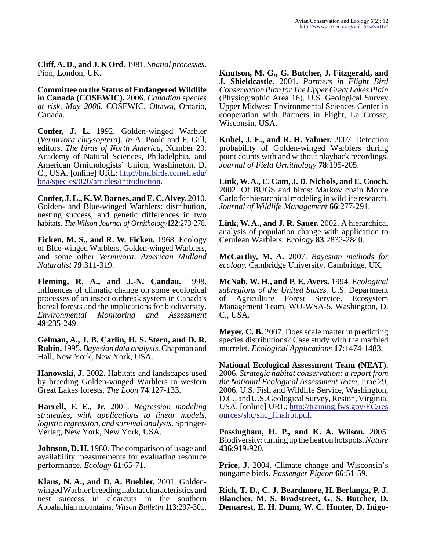**Cliff, A. D., and J. K Ord.** 1981. *Spatial processes.* Pion, London, UK.

**Committee on the Status of Endangered Wildlife in Canada (COSEWIC).** 2006. *Canadian species at risk, May 2006.* COSEWIC, Ottawa, Ontario, Canada.

**Confer, J. L.** 1992. Golden-winged Warbler (*Vermivora chrysoptera*). *In* A. Poole and F. Gill, editors. *The birds of North America*, Number 20. Academy of Natural Sciences, Philadelphia, and American Ornithologists' Union, Washington, D. C., USA. [online] URL: [http://bna.birds.cornell.edu/](http://bna.birds.cornell.edu/bna/species/020/articles/introduction/) [bna/species/020/articles/introduction.](http://bna.birds.cornell.edu/bna/species/020/articles/introduction/)

**Confer, J. L., K. W. Barnes, and E. C. Alvey.** 2010. Golden- and Blue-winged Warblers: distribution, nesting success, and genetic differences in two habitats. *The Wilson Journal of Ornithology***122**:273-278.

**Ficken, M. S., and R. W. Ficken.** 1968. Ecology of Blue-winged Warblers, Golden-winged Warblers, and some other *Vermivora*. *American Midland Naturalist* **79**:311-319.

**Fleming, R. A., and J.-N. Candau.** 1998. Influences of climatic change on some ecological processes of an insect outbreak system in Canada's boreal forests and the implications for biodiversity. *Environmental Monitoring and Assessment* **49**:235-249.

**Gelman, A., J. B. Carlin, H. S. Stern, and D. R. Rubin.** 1995. *Bayesian data analysis.* Chapman and Hall, New York, New York, USA.

**Hanowski, J.** 2002. Habitats and landscapes used by breeding Golden-winged Warblers in western Great Lakes forests. *The Loon* **74**:127-133.

**Harrell, F. E., Jr.** 2001. *Regression modeling strategies, with applications to linear models, logistic regression, and survival analysis.* Springer-Verlag, New York, New York, USA.

**Johnson, D. H.** 1980. The comparison of usage and availability measurements for evaluating resource performance. *Ecology* **61**:65-71.

**Klaus, N. A., and D. A. Buehler.** 2001. Goldenwinged Warbler breeding habitat characteristics and nest success in clearcuts in the southern Appalachian mountains. *Wilson Bulletin* **113**:297-301.

**Knutson, M. G., G. Butcher, J. Fitzgerald, and J. Shieldcastle.** 2001. *Partners in Flight Bird Conservation Plan for The Upper Great Lakes Plain* (Physiographic Area 16). U.S. Geological Survey Upper Midwest Environmental Sciences Center in cooperation with Partners in Flight, La Crosse, Wisconsin, USA.

**Kubel, J. E., and R. H. Yahner.** 2007. Detection probability of Golden-winged Warblers during point counts with and without playback recordings. *Journal of Field Ornithology* **78**:195-205.

**Link, W. A., E. Cam, J. D. Nichols, and E. Cooch.** 2002. Of BUGS and birds: Markov chain Monte Carlo for hierarchical modeling in wildlife research. *Journal of Wildlife Management* **66**:277-291.

**Link, W. A., and J. R. Sauer.** 2002. A hierarchical analysis of population change with application to Cerulean Warblers. *Ecology* **83**:2832-2840.

**McCarthy, M. A.** 2007. *Bayesian methods for ecology.* Cambridge University, Cambridge, UK.

**McNab, W. H., and P. E. Avers.** 1994. *Ecological subregions of the United States.* U.S. Department of Agriculture Forest Service, Ecosystem Management Team, WO-WSA-5, Washington, D. C., USA.

**Meyer, C. B.** 2007. Does scale matter in predicting species distributions? Case study with the marbled murrelet. *Ecological Applications* **17**:1474-1483.

**National Ecological Assessment Team (NEAT).** 2006. *Strategic habitat conservation: a report from the National Ecological Assessment Team*, June 29, 2006. U.S. Fish and Wildlife Service, Washington, D.C., and U.S. Geological Survey, Reston, Virginia, USA. [online] URL: [http://training.fws.gov/EC/res](http://training.fws.gov/EC/resources/shc/shc_finalrpt.pdf) [ources/shc/shc\\_finalrpt.pdf](http://training.fws.gov/EC/resources/shc/shc_finalrpt.pdf).

**Possingham, H. P., and K. A. Wilson.** 2005. Biodiversity: turning up the heat on hotspots. *Nature* **436**:919-920.

**Price, J.** 2004. Climate change and Wisconsin's nongame birds. *Passenger Pigeon* **66**:51-59.

**Rich, T. D., C. J. Beardmore, H. Berlanga, P. J. Blancher, M. S. Bradstreet, G. S. Butcher, D. Demarest, E. H. Dunn, W. C. Hunter, D. Inigo-**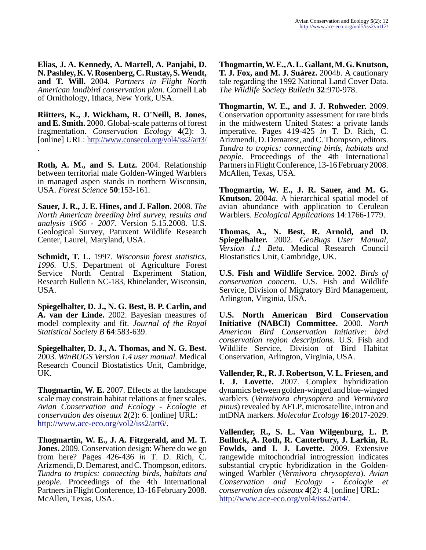**Elias, J. A. Kennedy, A. Martell, A. Panjabi, D. N. Pashley, K. V. Rosenberg, C. Rustay, S. Wendt, and T. Will.** 2004. *Partners in Flight North American landbird conservation plan.* Cornell Lab of Ornithology, Ithaca, New York, USA.

**Riitters, K., J. Wickham, R. O'Neill, B. Jones, and E. Smith.** 2000. Global-scale patterns of forest fragmentation. *Conservation Ecology* **4**(2): 3. [online] URL:<http://www.consecol.org/vol4/iss2/art3/> .

**Roth, A. M., and S. Lutz.** 2004. Relationship between territorial male Golden-Winged Warblers in managed aspen stands in northern Wisconsin, USA. *Forest Science* **50**:153-161.

**Sauer, J. R., J. E. Hines, and J. Fallon.** 2008. *The North American breeding bird survey, results and analysis 1966 - 2007.* Version 5.15.2008. U.S. Geological Survey, Patuxent Wildlife Research Center, Laurel, Maryland, USA.

**Schmidt, T. L.** 1997. *Wisconsin forest statistics, 1996.* U.S. Department of Agriculture Forest Service North Central Experiment Station, Research Bulletin NC-183, Rhinelander, Wisconsin, USA.

**Spiegelhalter, D. J., N. G. Best, B. P. Carlin, and A. van der Linde.** 2002. Bayesian measures of model complexity and fit. *Journal of the Royal Statistical Society B* **64**:583-639.

**Spiegelhalter, D. J., A. Thomas, and N. G. Best.** 2003. *WinBUGS Version 1.4 user manual.* Medical Research Council Biostatistics Unit, Cambridge, UK.

**Thogmartin, W. E.** 2007. Effects at the landscape scale may constrain habitat relations at finer scales. *Avian Conservation and Ecology - Écologie et conservation des oiseaux* **2**(2): 6. [online] URL: <http://www.ace-eco.org/vol2/iss2/art6/>.

**Thogmartin, W. E., J. A. Fitzgerald, and M. T. Jones.** 2009. Conservation design: Where do we go from here? Pages 426-436 *in* T. D. Rich, C. Arizmendi, D. Demarest, and C. Thompson, editors. *Tundra to tropics: connecting birds, habitats and people.* Proceedings of the 4th International Partners in Flight Conference, 13-16 February 2008. McAllen, Texas, USA.

**Thogmartin, W. E., A. L. Gallant, M. G. Knutson, T. J. Fox, and M. J. Suárez.** 2004*b*. A cautionary tale regarding the 1992 National Land Cover Data. *The Wildlife Society Bulletin* **32**:970-978.

**Thogmartin, W. E., and J. J. Rohweder.** 2009. Conservation opportunity assessment for rare birds in the midwestern United States: a private lands imperative. Pages 419-425 *in* T. D. Rich, C. Arizmendi, D. Demarest, and C. Thompson, editors. *Tundra to tropics: connecting birds, habitats and people.* Proceedings of the 4th International Partners in Flight Conference, 13-16 February 2008. McAllen, Texas, USA.

**Thogmartin, W. E., J. R. Sauer, and M. G. Knutson.** 2004*a*. A hierarchical spatial model of avian abundance with application to Cerulean Warblers. *Ecological Applications* **14**:1766-1779.

**Thomas, A., N. Best, R. Arnold, and D. Spiegelhalter.** 2002. *GeoBugs User Manual, Version 1.1 Beta.* Medical Research Council Biostatistics Unit, Cambridge, UK.

**U.S. Fish and Wildlife Service.** 2002. *Birds of conservation concern.* U.S. Fish and Wildlife Service, Division of Migratory Bird Management, Arlington, Virginia, USA.

**U.S. North American Bird Conservation Initiative (NABCI) Committee.** 2000. *North American Bird Conservation Initiative: bird conservation region descriptions.* U.S. Fish and Wildlife Service, Division of Bird Habitat Conservation, Arlington, Virginia, USA.

**Vallender, R., R. J. Robertson, V. L. Friesen, and I. J. Lovette.** 2007. Complex hybridization dynamics between golden-winged and blue-winged warblers (*Vermivora chrysoptera* and *Vermivora pinus*) revealed by AFLP, microsatellite, intron and mtDNA markers. *Molecular Ecology* **16**:2017-2029.

**Vallender, R., S. L. Van Wilgenburg, L. P. Bulluck, A. Roth, R. Canterbury, J. Larkin, R. Fowlds, and I. J. Lovette.** 2009. Extensive rangewide mitochondrial introgression indicates substantial cryptic hybridization in the Goldenwinged Warbler (*Vermivora chrysoptera*). *Avian Conservation and Ecology - Écologie et conservation des oiseaux* **4**(2): 4. [online] URL: <http://www.ace-eco.org/vol4/iss2/art4/>.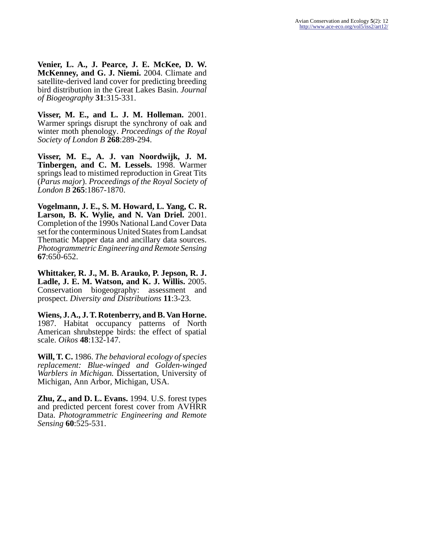**Venier, L. A., J. Pearce, J. E. McKee, D. W. McKenney, and G. J. Niemi.** 2004. Climate and satellite-derived land cover for predicting breeding bird distribution in the Great Lakes Basin. *Journal of Biogeography* **31**:315-331.

**Visser, M. E., and L. J. M. Holleman.** 2001. Warmer springs disrupt the synchrony of oak and winter moth phenology. *Proceedings of the Royal Society of London B* **268**:289-294.

**Visser, M. E., A. J. van Noordwijk, J. M. Tinbergen, and C. M. Lessels.** 1998. Warmer springs lead to mistimed reproduction in Great Tits (*Parus major*). *Proceedings of the Royal Society of London B* **265**:1867-1870.

**Vogelmann, J. E., S. M. Howard, L. Yang, C. R. Larson, B. K. Wylie, and N. Van Driel.** 2001. Completion of the 1990s National Land Cover Data set for the conterminous United States from Landsat Thematic Mapper data and ancillary data sources. *Photogrammetric Engineering and Remote Sensing* **67**:650-652.

**Whittaker, R. J., M. B. Arauko, P. Jepson, R. J. Ladle, J. E. M. Watson, and K. J. Willis.** 2005. Conservation biogeography: assessment and prospect. *Diversity and Distributions* **11**:3-23.

**Wiens, J. A., J. T. Rotenberry, and B. Van Horne.** 1987. Habitat occupancy patterns of North American shrubsteppe birds: the effect of spatial scale. *Oikos* **48**:132-147.

**Will, T. C.** 1986. *The behavioral ecology of species replacement: Blue-winged and Golden-winged Warblers in Michigan.* Dissertation, University of Michigan, Ann Arbor, Michigan, USA.

**Zhu, Z., and D. L. Evans.** 1994. U.S. forest types and predicted percent forest cover from AVHRR Data. *Photogrammetric Engineering and Remote Sensing* **60**:525-531.